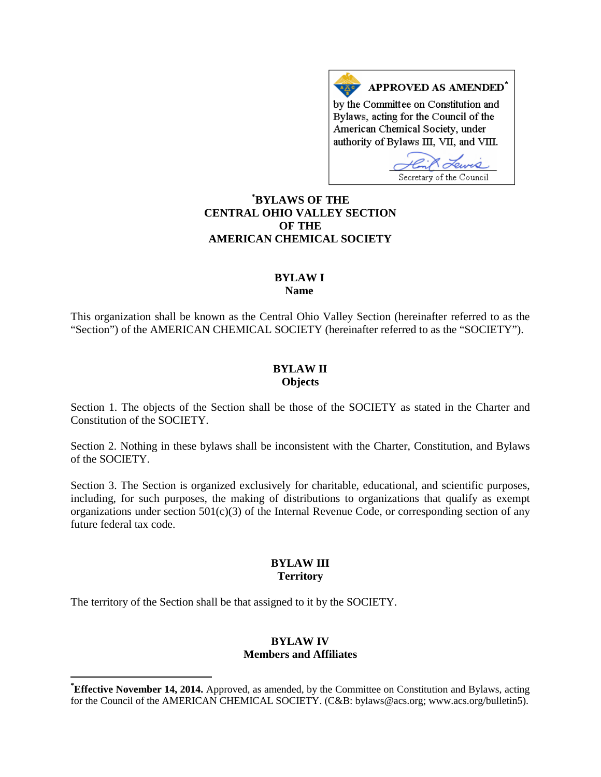APPROVED AS AMENDED<sup>\*</sup> by the Committee on Constitution and Bylaws, acting for the Council of the American Chemical Society, under authority of Bylaws III, VII, and VIII.

Secretary of the Council

# **[\\*](#page-0-0) BYLAWS OF THE CENTRAL OHIO VALLEY SECTION OF THE AMERICAN CHEMICAL SOCIETY**

#### **BYLAW I Name**

This organization shall be known as the Central Ohio Valley Section (hereinafter referred to as the "Section") of the AMERICAN CHEMICAL SOCIETY (hereinafter referred to as the "SOCIETY").

#### **BYLAW II Objects**

Section 1. The objects of the Section shall be those of the SOCIETY as stated in the Charter and Constitution of the SOCIETY.

Section 2. Nothing in these bylaws shall be inconsistent with the Charter, Constitution, and Bylaws of the SOCIETY.

Section 3. The Section is organized exclusively for charitable, educational, and scientific purposes, including, for such purposes, the making of distributions to organizations that qualify as exempt organizations under section  $501(c)(3)$  of the Internal Revenue Code, or corresponding section of any future federal tax code.

#### **BYLAW III Territory**

The territory of the Section shall be that assigned to it by the SOCIETY.

#### **BYLAW IV Members and Affiliates**

<span id="page-0-0"></span>**\* Effective November 14, 2014.** Approved, as amended, by the Committee on Constitution and Bylaws, acting for the Council of the AMERICAN CHEMICAL SOCIETY. (C&B: bylaws@acs.org; www.acs.org/bulletin5).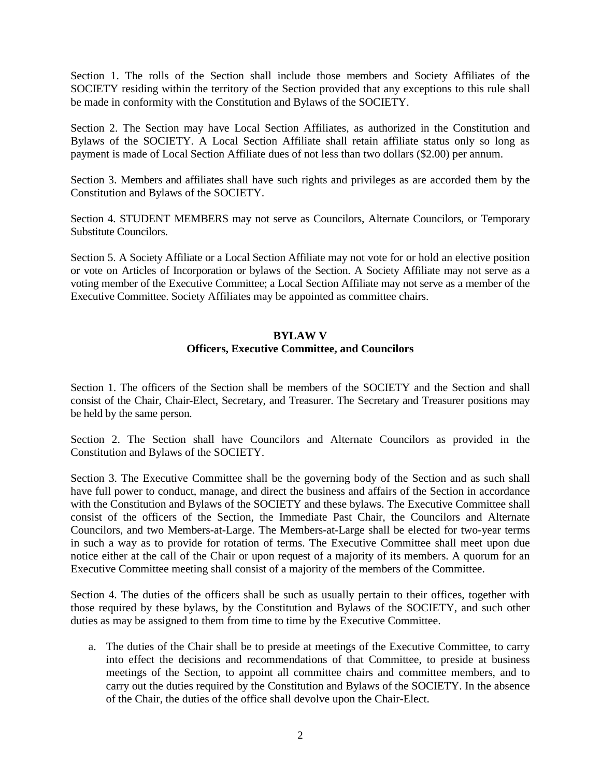Section 1. The rolls of the Section shall include those members and Society Affiliates of the SOCIETY residing within the territory of the Section provided that any exceptions to this rule shall be made in conformity with the Constitution and Bylaws of the SOCIETY.

Section 2. The Section may have Local Section Affiliates, as authorized in the Constitution and Bylaws of the SOCIETY. A Local Section Affiliate shall retain affiliate status only so long as payment is made of Local Section Affiliate dues of not less than two dollars (\$2.00) per annum.

Section 3. Members and affiliates shall have such rights and privileges as are accorded them by the Constitution and Bylaws of the SOCIETY.

Section 4. STUDENT MEMBERS may not serve as Councilors, Alternate Councilors, or Temporary Substitute Councilors.

Section 5. A Society Affiliate or a Local Section Affiliate may not vote for or hold an elective position or vote on Articles of Incorporation or bylaws of the Section. A Society Affiliate may not serve as a voting member of the Executive Committee; a Local Section Affiliate may not serve as a member of the Executive Committee. Society Affiliates may be appointed as committee chairs.

#### **BYLAW V**

## **Officers, Executive Committee, and Councilors**

Section 1. The officers of the Section shall be members of the SOCIETY and the Section and shall consist of the Chair, Chair-Elect, Secretary, and Treasurer. The Secretary and Treasurer positions may be held by the same person.

Section 2. The Section shall have Councilors and Alternate Councilors as provided in the Constitution and Bylaws of the SOCIETY.

Section 3. The Executive Committee shall be the governing body of the Section and as such shall have full power to conduct, manage, and direct the business and affairs of the Section in accordance with the Constitution and Bylaws of the SOCIETY and these bylaws. The Executive Committee shall consist of the officers of the Section, the Immediate Past Chair, the Councilors and Alternate Councilors, and two Members-at-Large. The Members-at-Large shall be elected for two-year terms in such a way as to provide for rotation of terms. The Executive Committee shall meet upon due notice either at the call of the Chair or upon request of a majority of its members. A quorum for an Executive Committee meeting shall consist of a majority of the members of the Committee.

Section 4. The duties of the officers shall be such as usually pertain to their offices, together with those required by these bylaws, by the Constitution and Bylaws of the SOCIETY, and such other duties as may be assigned to them from time to time by the Executive Committee.

a. The duties of the Chair shall be to preside at meetings of the Executive Committee, to carry into effect the decisions and recommendations of that Committee, to preside at business meetings of the Section, to appoint all committee chairs and committee members, and to carry out the duties required by the Constitution and Bylaws of the SOCIETY. In the absence of the Chair, the duties of the office shall devolve upon the Chair-Elect.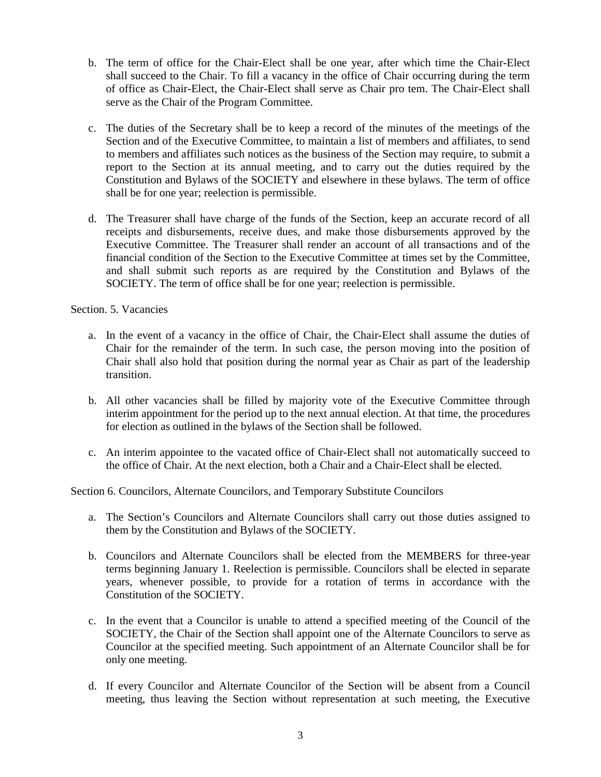- b. The term of office for the Chair-Elect shall be one year, after which time the Chair-Elect shall succeed to the Chair. To fill a vacancy in the office of Chair occurring during the term of office as Chair-Elect, the Chair-Elect shall serve as Chair pro tem. The Chair-Elect shall serve as the Chair of the Program Committee.
- c. The duties of the Secretary shall be to keep a record of the minutes of the meetings of the Section and of the Executive Committee, to maintain a list of members and affiliates, to send to members and affiliates such notices as the business of the Section may require, to submit a report to the Section at its annual meeting, and to carry out the duties required by the Constitution and Bylaws of the SOCIETY and elsewhere in these bylaws. The term of office shall be for one year; reelection is permissible.
- d. The Treasurer shall have charge of the funds of the Section, keep an accurate record of all receipts and disbursements, receive dues, and make those disbursements approved by the Executive Committee. The Treasurer shall render an account of all transactions and of the financial condition of the Section to the Executive Committee at times set by the Committee, and shall submit such reports as are required by the Constitution and Bylaws of the SOCIETY. The term of office shall be for one year; reelection is permissible.

#### Section. 5. Vacancies

- a. In the event of a vacancy in the office of Chair, the Chair-Elect shall assume the duties of Chair for the remainder of the term. In such case, the person moving into the position of Chair shall also hold that position during the normal year as Chair as part of the leadership transition.
- b. All other vacancies shall be filled by majority vote of the Executive Committee through interim appointment for the period up to the next annual election. At that time, the procedures for election as outlined in the bylaws of the Section shall be followed.
- c. An interim appointee to the vacated office of Chair-Elect shall not automatically succeed to the office of Chair. At the next election, both a Chair and a Chair-Elect shall be elected.

Section 6. Councilors, Alternate Councilors, and Temporary Substitute Councilors

- a. The Section's Councilors and Alternate Councilors shall carry out those duties assigned to them by the Constitution and Bylaws of the SOCIETY.
- b. Councilors and Alternate Councilors shall be elected from the MEMBERS for three-year terms beginning January 1. Reelection is permissible. Councilors shall be elected in separate years, whenever possible, to provide for a rotation of terms in accordance with the Constitution of the SOCIETY.
- c. In the event that a Councilor is unable to attend a specified meeting of the Council of the SOCIETY, the Chair of the Section shall appoint one of the Alternate Councilors to serve as Councilor at the specified meeting. Such appointment of an Alternate Councilor shall be for only one meeting.
- d. If every Councilor and Alternate Councilor of the Section will be absent from a Council meeting, thus leaving the Section without representation at such meeting, the Executive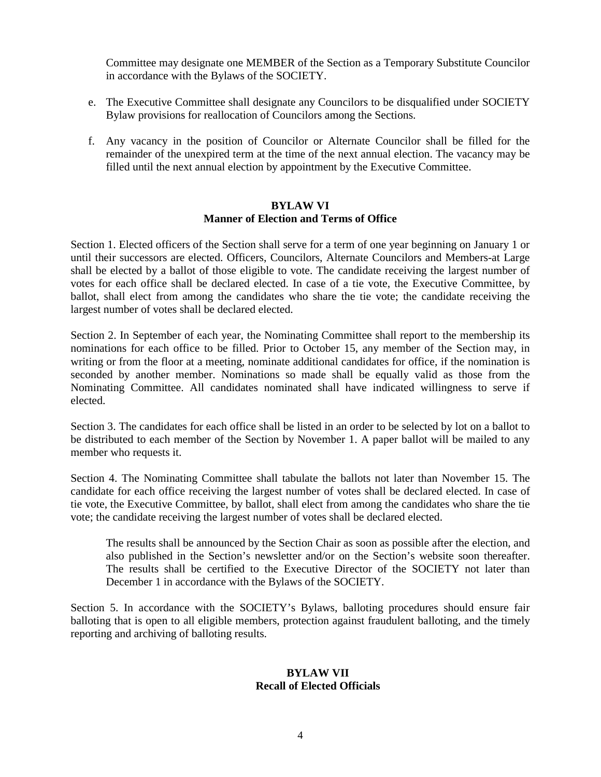Committee may designate one MEMBER of the Section as a Temporary Substitute Councilor in accordance with the Bylaws of the SOCIETY.

- e. The Executive Committee shall designate any Councilors to be disqualified under SOCIETY Bylaw provisions for reallocation of Councilors among the Sections.
- f. Any vacancy in the position of Councilor or Alternate Councilor shall be filled for the remainder of the unexpired term at the time of the next annual election. The vacancy may be filled until the next annual election by appointment by the Executive Committee.

#### **BYLAW VI Manner of Election and Terms of Office**

Section 1. Elected officers of the Section shall serve for a term of one year beginning on January 1 or until their successors are elected. Officers, Councilors, Alternate Councilors and Members-at Large shall be elected by a ballot of those eligible to vote. The candidate receiving the largest number of votes for each office shall be declared elected. In case of a tie vote, the Executive Committee, by ballot, shall elect from among the candidates who share the tie vote; the candidate receiving the largest number of votes shall be declared elected.

Section 2. In September of each year, the Nominating Committee shall report to the membership its nominations for each office to be filled. Prior to October 15, any member of the Section may, in writing or from the floor at a meeting, nominate additional candidates for office, if the nomination is seconded by another member. Nominations so made shall be equally valid as those from the Nominating Committee. All candidates nominated shall have indicated willingness to serve if elected.

Section 3. The candidates for each office shall be listed in an order to be selected by lot on a ballot to be distributed to each member of the Section by November 1. A paper ballot will be mailed to any member who requests it.

Section 4. The Nominating Committee shall tabulate the ballots not later than November 15. The candidate for each office receiving the largest number of votes shall be declared elected. In case of tie vote, the Executive Committee, by ballot, shall elect from among the candidates who share the tie vote; the candidate receiving the largest number of votes shall be declared elected.

The results shall be announced by the Section Chair as soon as possible after the election, and also published in the Section's newsletter and/or on the Section's website soon thereafter. The results shall be certified to the Executive Director of the SOCIETY not later than December 1 in accordance with the Bylaws of the SOCIETY.

Section 5. In accordance with the SOCIETY's Bylaws, balloting procedures should ensure fair balloting that is open to all eligible members, protection against fraudulent balloting, and the timely reporting and archiving of balloting results.

### **BYLAW VII Recall of Elected Officials**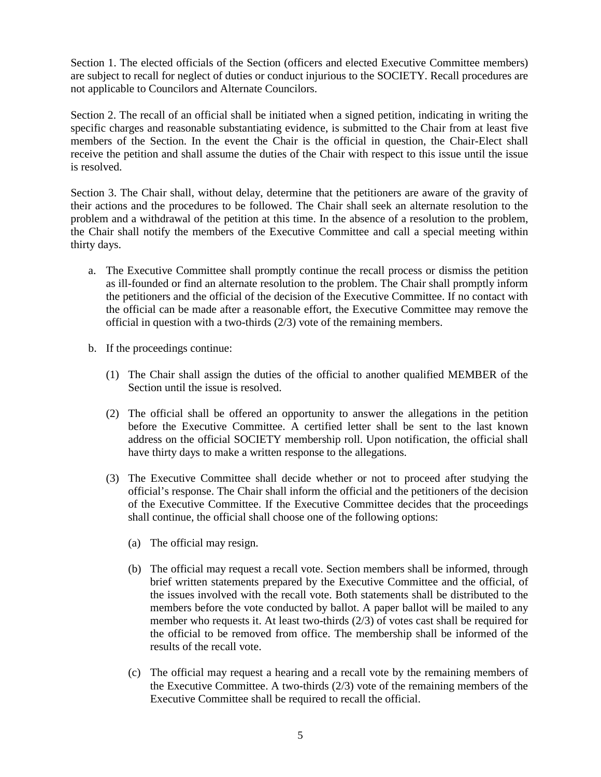Section 1. The elected officials of the Section (officers and elected Executive Committee members) are subject to recall for neglect of duties or conduct injurious to the SOCIETY. Recall procedures are not applicable to Councilors and Alternate Councilors.

Section 2. The recall of an official shall be initiated when a signed petition, indicating in writing the specific charges and reasonable substantiating evidence, is submitted to the Chair from at least five members of the Section. In the event the Chair is the official in question, the Chair-Elect shall receive the petition and shall assume the duties of the Chair with respect to this issue until the issue is resolved.

Section 3. The Chair shall, without delay, determine that the petitioners are aware of the gravity of their actions and the procedures to be followed. The Chair shall seek an alternate resolution to the problem and a withdrawal of the petition at this time. In the absence of a resolution to the problem, the Chair shall notify the members of the Executive Committee and call a special meeting within thirty days.

- a. The Executive Committee shall promptly continue the recall process or dismiss the petition as ill-founded or find an alternate resolution to the problem. The Chair shall promptly inform the petitioners and the official of the decision of the Executive Committee. If no contact with the official can be made after a reasonable effort, the Executive Committee may remove the official in question with a two-thirds (2/3) vote of the remaining members.
- b. If the proceedings continue:
	- (1) The Chair shall assign the duties of the official to another qualified MEMBER of the Section until the issue is resolved.
	- (2) The official shall be offered an opportunity to answer the allegations in the petition before the Executive Committee. A certified letter shall be sent to the last known address on the official SOCIETY membership roll. Upon notification, the official shall have thirty days to make a written response to the allegations.
	- (3) The Executive Committee shall decide whether or not to proceed after studying the official's response. The Chair shall inform the official and the petitioners of the decision of the Executive Committee. If the Executive Committee decides that the proceedings shall continue, the official shall choose one of the following options:
		- (a) The official may resign.
		- (b) The official may request a recall vote. Section members shall be informed, through brief written statements prepared by the Executive Committee and the official, of the issues involved with the recall vote. Both statements shall be distributed to the members before the vote conducted by ballot. A paper ballot will be mailed to any member who requests it. At least two-thirds (2/3) of votes cast shall be required for the official to be removed from office. The membership shall be informed of the results of the recall vote.
		- (c) The official may request a hearing and a recall vote by the remaining members of the Executive Committee. A two-thirds (2/3) vote of the remaining members of the Executive Committee shall be required to recall the official.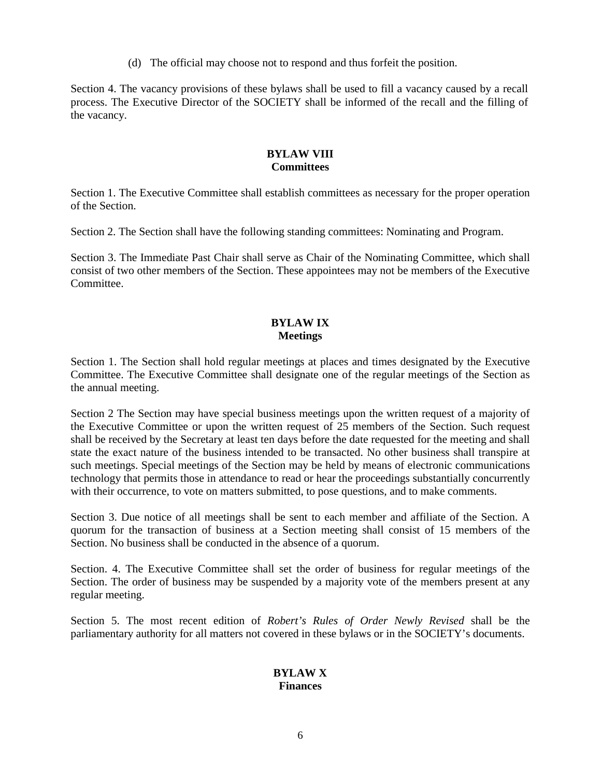(d) The official may choose not to respond and thus forfeit the position.

Section 4. The vacancy provisions of these bylaws shall be used to fill a vacancy caused by a recall process. The Executive Director of the SOCIETY shall be informed of the recall and the filling of the vacancy.

# **BYLAW VIII Committees**

Section 1. The Executive Committee shall establish committees as necessary for the proper operation of the Section.

Section 2. The Section shall have the following standing committees: Nominating and Program.

Section 3. The Immediate Past Chair shall serve as Chair of the Nominating Committee, which shall consist of two other members of the Section. These appointees may not be members of the Executive **Committee** 

## **BYLAW IX Meetings**

Section 1. The Section shall hold regular meetings at places and times designated by the Executive Committee. The Executive Committee shall designate one of the regular meetings of the Section as the annual meeting.

Section 2 The Section may have special business meetings upon the written request of a majority of the Executive Committee or upon the written request of 25 members of the Section. Such request shall be received by the Secretary at least ten days before the date requested for the meeting and shall state the exact nature of the business intended to be transacted. No other business shall transpire at such meetings. Special meetings of the Section may be held by means of electronic communications technology that permits those in attendance to read or hear the proceedings substantially concurrently with their occurrence, to vote on matters submitted, to pose questions, and to make comments.

Section 3. Due notice of all meetings shall be sent to each member and affiliate of the Section. A quorum for the transaction of business at a Section meeting shall consist of 15 members of the Section. No business shall be conducted in the absence of a quorum.

Section. 4. The Executive Committee shall set the order of business for regular meetings of the Section. The order of business may be suspended by a majority vote of the members present at any regular meeting.

Section 5. The most recent edition of *Robert's Rules of Order Newly Revised* shall be the parliamentary authority for all matters not covered in these bylaws or in the SOCIETY's documents.

#### **BYLAW X Finances**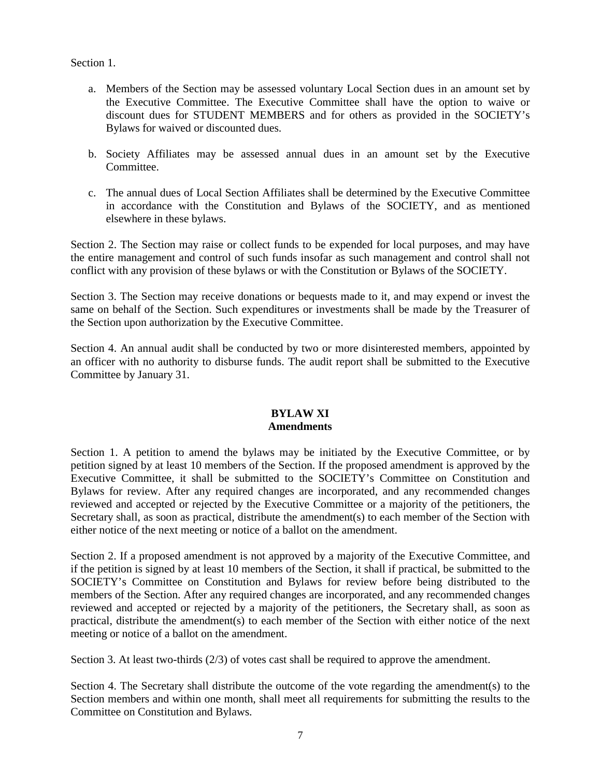Section 1.

- a. Members of the Section may be assessed voluntary Local Section dues in an amount set by the Executive Committee. The Executive Committee shall have the option to waive or discount dues for STUDENT MEMBERS and for others as provided in the SOCIETY's Bylaws for waived or discounted dues.
- b. Society Affiliates may be assessed annual dues in an amount set by the Executive Committee.
- c. The annual dues of Local Section Affiliates shall be determined by the Executive Committee in accordance with the Constitution and Bylaws of the SOCIETY, and as mentioned elsewhere in these bylaws.

Section 2. The Section may raise or collect funds to be expended for local purposes, and may have the entire management and control of such funds insofar as such management and control shall not conflict with any provision of these bylaws or with the Constitution or Bylaws of the SOCIETY.

Section 3. The Section may receive donations or bequests made to it, and may expend or invest the same on behalf of the Section. Such expenditures or investments shall be made by the Treasurer of the Section upon authorization by the Executive Committee.

Section 4. An annual audit shall be conducted by two or more disinterested members, appointed by an officer with no authority to disburse funds. The audit report shall be submitted to the Executive Committee by January 31.

#### **BYLAW XI Amendments**

Section 1. A petition to amend the bylaws may be initiated by the Executive Committee, or by petition signed by at least 10 members of the Section. If the proposed amendment is approved by the Executive Committee, it shall be submitted to the SOCIETY's Committee on Constitution and Bylaws for review. After any required changes are incorporated, and any recommended changes reviewed and accepted or rejected by the Executive Committee or a majority of the petitioners, the Secretary shall, as soon as practical, distribute the amendment(s) to each member of the Section with either notice of the next meeting or notice of a ballot on the amendment.

Section 2. If a proposed amendment is not approved by a majority of the Executive Committee, and if the petition is signed by at least 10 members of the Section, it shall if practical, be submitted to the SOCIETY's Committee on Constitution and Bylaws for review before being distributed to the members of the Section. After any required changes are incorporated, and any recommended changes reviewed and accepted or rejected by a majority of the petitioners, the Secretary shall, as soon as practical, distribute the amendment(s) to each member of the Section with either notice of the next meeting or notice of a ballot on the amendment.

Section 3. At least two-thirds (2/3) of votes cast shall be required to approve the amendment.

Section 4. The Secretary shall distribute the outcome of the vote regarding the amendment(s) to the Section members and within one month, shall meet all requirements for submitting the results to the Committee on Constitution and Bylaws.